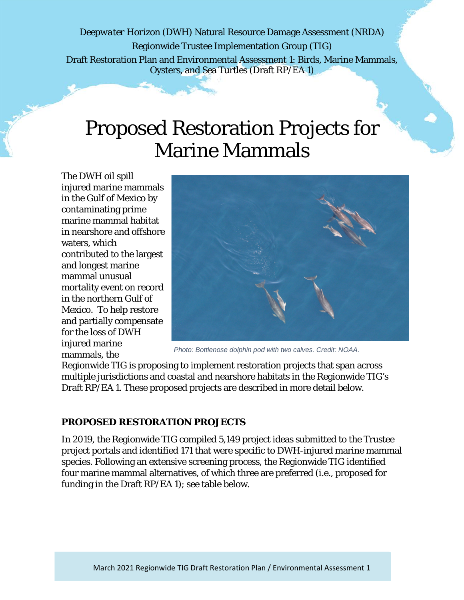*Deepwater Horizon* (DWH) Natural Resource Damage Assessment (NRDA) Regionwide Trustee Implementation Group (TIG) Draft Restoration Plan and Environmental Assessment 1: Birds, Marine Mammals, Oysters, and Sea Turtles (Draft RP/EA 1)

# Proposed Restoration Projects for Marine Mammals

The DWH oil spill injured marine mammals in the Gulf of Mexico by contaminating prime marine mammal habitat in nearshore and offshore waters, which contributed to the largest and longest marine mammal unusual mortality event on record in the northern Gulf of Mexico. To help restore and partially compensate for the loss of DWH injured marine mammals, the



*Photo: Bottlenose dolphin pod with two calves. Credit: NOAA.*

Regionwide TIG is proposing to implement restoration projects that span across multiple jurisdictions and coastal and nearshore habitats in the Regionwide TIG's Draft RP/EA 1. These proposed projects are described in more detail below.

#### **PROPOSED RESTORATION PROJECTS**

In 2019, the Regionwide TIG compiled 5,149 project ideas submitted to the Trustee project portals and identified 171 that were specific to DWH-injured marine mammal species. Following an extensive screening process, the Regionwide TIG identified four marine mammal alternatives, of which three are preferred (i.e., proposed for funding in the Draft RP/EA 1); see table below.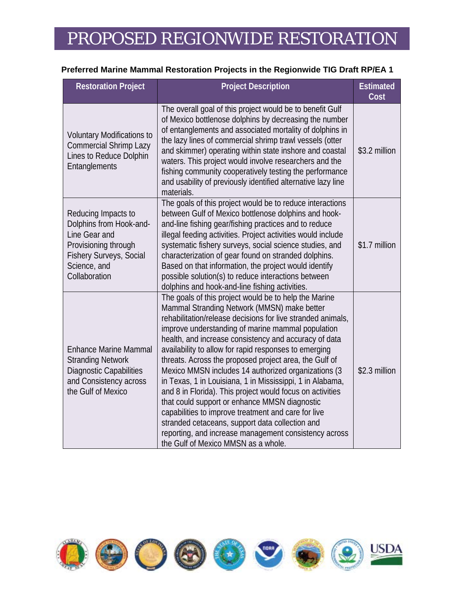## PROPOSED REGIONWIDE RESTORATION

#### **Preferred Marine Mammal Restoration Projects in the Regionwide TIG Draft RP/EA 1**

| <b>Restoration Project</b>                                                                                                                                 | <b>Project Description</b>                                                                                                                                                                                                                                                                                                                                                                                                                                                                                                                                                                                                                                                                                                                                                                                                                       | <b>Estimated</b><br>Cost |
|------------------------------------------------------------------------------------------------------------------------------------------------------------|--------------------------------------------------------------------------------------------------------------------------------------------------------------------------------------------------------------------------------------------------------------------------------------------------------------------------------------------------------------------------------------------------------------------------------------------------------------------------------------------------------------------------------------------------------------------------------------------------------------------------------------------------------------------------------------------------------------------------------------------------------------------------------------------------------------------------------------------------|--------------------------|
| <b>Voluntary Modifications to</b><br><b>Commercial Shrimp Lazy</b><br>Lines to Reduce Dolphin<br>Entanglements                                             | The overall goal of this project would be to benefit Gulf<br>of Mexico bottlenose dolphins by decreasing the number<br>of entanglements and associated mortality of dolphins in<br>the lazy lines of commercial shrimp trawl vessels (otter<br>and skimmer) operating within state inshore and coastal<br>waters. This project would involve researchers and the<br>fishing community cooperatively testing the performance<br>and usability of previously identified alternative lazy line<br>materials.                                                                                                                                                                                                                                                                                                                                        | \$3.2 million            |
| Reducing Impacts to<br>Dolphins from Hook-and-<br>Line Gear and<br>Provisioning through<br><b>Fishery Surveys, Social</b><br>Science, and<br>Collaboration | The goals of this project would be to reduce interactions<br>between Gulf of Mexico bottlenose dolphins and hook-<br>and-line fishing gear/fishing practices and to reduce<br>illegal feeding activities. Project activities would include<br>systematic fishery surveys, social science studies, and<br>characterization of gear found on stranded dolphins.<br>Based on that information, the project would identify<br>possible solution(s) to reduce interactions between<br>dolphins and hook-and-line fishing activities.                                                                                                                                                                                                                                                                                                                  | \$1.7 million            |
| <b>Enhance Marine Mammal</b><br><b>Stranding Network</b><br>Diagnostic Capabilities<br>and Consistency across<br>the Gulf of Mexico                        | The goals of this project would be to help the Marine<br>Mammal Stranding Network (MMSN) make better<br>rehabilitation/release decisions for live stranded animals,<br>improve understanding of marine mammal population<br>health, and increase consistency and accuracy of data<br>availability to allow for rapid responses to emerging<br>threats. Across the proposed project area, the Gulf of<br>Mexico MMSN includes 14 authorized organizations (3<br>in Texas, 1 in Louisiana, 1 in Mississippi, 1 in Alabama,<br>and 8 in Florida). This project would focus on activities<br>that could support or enhance MMSN diagnostic<br>capabilities to improve treatment and care for live<br>stranded cetaceans, support data collection and<br>reporting, and increase management consistency across<br>the Gulf of Mexico MMSN as a whole. | \$2.3 million            |